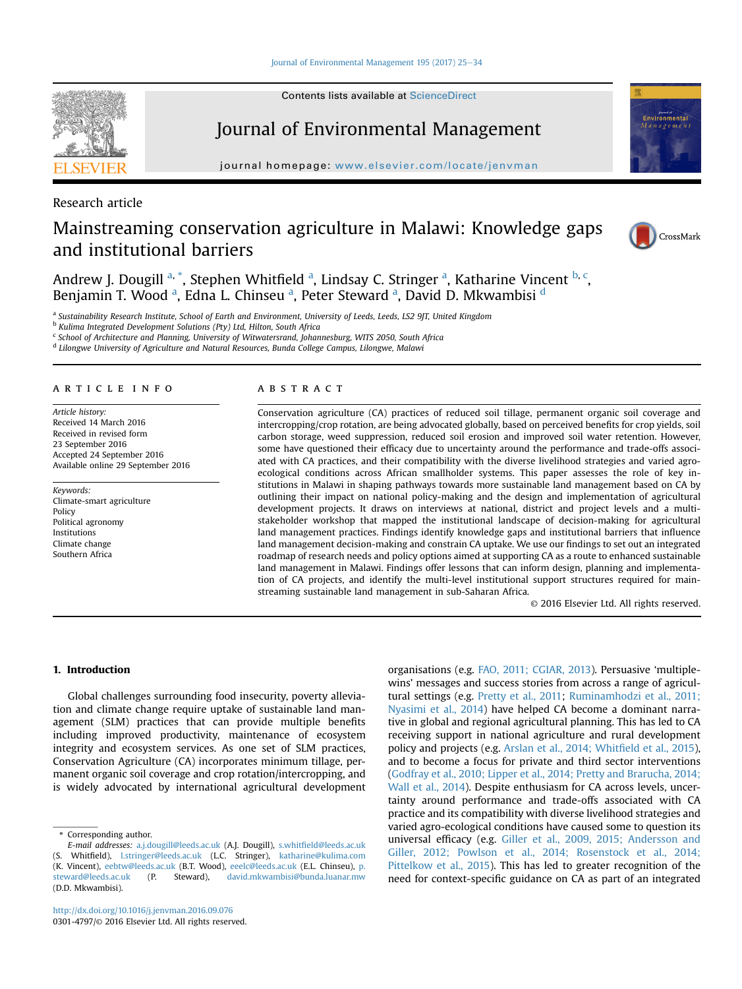#### [Journal of Environmental Management 195 \(2017\) 25](http://dx.doi.org/10.1016/j.jenvman.2016.09.076)-[34](http://dx.doi.org/10.1016/j.jenvman.2016.09.076)



Contents lists available at ScienceDirect

# Journal of Environmental Management

journal homepage: [www.elsevier.com/locate/jenvman](http://www.elsevier.com/locate/jenvman)

# Research article

# Mainstreaming conservation agriculture in Malawi: Knowledge gaps and institutional barriers





Andrew J. Dougill <sup>a, \*</sup>, Stephen Whitfield <sup>a</sup>, Lindsay C. Stringer <sup>a</sup>, Katharine Vincent <sup>b, c</sup>, Benjamin T. Wood <sup>a</sup>, Edna L. Chinseu <sup>a</sup>, Peter Steward <sup>a</sup>, David D. Mkwambisi <sup>d</sup>

a Sustainability Research Institute, School of Earth and Environment, University of Leeds, Leeds, LS2 9JT, United Kingdom

<sup>b</sup> Kulima Integrated Development Solutions (Pty) Ltd, Hilton, South Africa

 $c$  School of Architecture and Planning, University of Witwatersrand, Johannesburg, WITS 2050, South Africa

<sup>d</sup> Lilongwe University of Agriculture and Natural Resources, Bunda College Campus, Lilongwe, Malawi

# article info

Article history: Received 14 March 2016 Received in revised form 23 September 2016 Accepted 24 September 2016 Available online 29 September 2016

Keywords: Climate-smart agriculture Policy Political agronomy Institutions Climate change Southern Africa

#### **ABSTRACT**

Conservation agriculture (CA) practices of reduced soil tillage, permanent organic soil coverage and intercropping/crop rotation, are being advocated globally, based on perceived benefits for crop yields, soil carbon storage, weed suppression, reduced soil erosion and improved soil water retention. However, some have questioned their efficacy due to uncertainty around the performance and trade-offs associated with CA practices, and their compatibility with the diverse livelihood strategies and varied agroecological conditions across African smallholder systems. This paper assesses the role of key institutions in Malawi in shaping pathways towards more sustainable land management based on CA by outlining their impact on national policy-making and the design and implementation of agricultural development projects. It draws on interviews at national, district and project levels and a multistakeholder workshop that mapped the institutional landscape of decision-making for agricultural land management practices. Findings identify knowledge gaps and institutional barriers that influence land management decision-making and constrain CA uptake. We use our findings to set out an integrated roadmap of research needs and policy options aimed at supporting CA as a route to enhanced sustainable land management in Malawi. Findings offer lessons that can inform design, planning and implementation of CA projects, and identify the multi-level institutional support structures required for mainstreaming sustainable land management in sub-Saharan Africa.

© 2016 Elsevier Ltd. All rights reserved.

# 1. Introduction

Global challenges surrounding food insecurity, poverty alleviation and climate change require uptake of sustainable land management (SLM) practices that can provide multiple benefits including improved productivity, maintenance of ecosystem integrity and ecosystem services. As one set of SLM practices, Conservation Agriculture (CA) incorporates minimum tillage, permanent organic soil coverage and crop rotation/intercropping, and is widely advocated by international agricultural development

Corresponding author.

organisations (e.g. [FAO, 2011; CGIAR, 2013\)](#page-8-0). Persuasive 'multiplewins' messages and success stories from across a range of agricultural settings (e.g. [Pretty et al., 2011](#page-9-0); [Ruminamhodzi et al., 2011;](#page-9-0) [Nyasimi et al., 2014](#page-9-0)) have helped CA become a dominant narrative in global and regional agricultural planning. This has led to CA receiving support in national agriculture and rural development policy and projects (e.g. [Arslan et al., 2014; Whit](#page-8-0)field et al., 2015), and to become a focus for private and third sector interventions ([Godfray et al., 2010; Lipper et al., 2014; Pretty and Brarucha, 2014;](#page-8-0) [Wall et al., 2014](#page-8-0)). Despite enthusiasm for CA across levels, uncertainty around performance and trade-offs associated with CA practice and its compatibility with diverse livelihood strategies and varied agro-ecological conditions have caused some to question its universal efficacy (e.g. [Giller et al., 2009, 2015; Andersson and](#page-8-0) [Giller, 2012; Powlson et al., 2014; Rosenstock et al., 2014;](#page-8-0) [Pittelkow et al., 2015](#page-8-0)). This has led to greater recognition of the need for context-specific guidance on CA as part of an integrated

E-mail addresses: [a.j.dougill@leeds.ac.uk](mailto:a.j.dougill@leeds.ac.uk) (A.J. Dougill), s.whitfi[eld@leeds.ac.uk](mailto:s.whitfield@leeds.ac.uk) (S. Whitfield), [l.stringer@leeds.ac.uk](mailto:l.stringer@leeds.ac.uk) (L.C. Stringer), [katharine@kulima.com](mailto:katharine@kulima.com) (K. Vincent), [eebtw@leeds.ac.uk](mailto:eebtw@leeds.ac.uk) (B.T. Wood), [eeelc@leeds.ac.uk](mailto:eeelc@leeds.ac.uk) (E.L. Chinseu), [p.](mailto:p.steward@leeds.ac.uk) (P. Steward), [david.mkwambisi@bunda.luanar.mw](mailto:david.mkwambisi@bunda.luanar.mw) (D.D. Mkwambisi).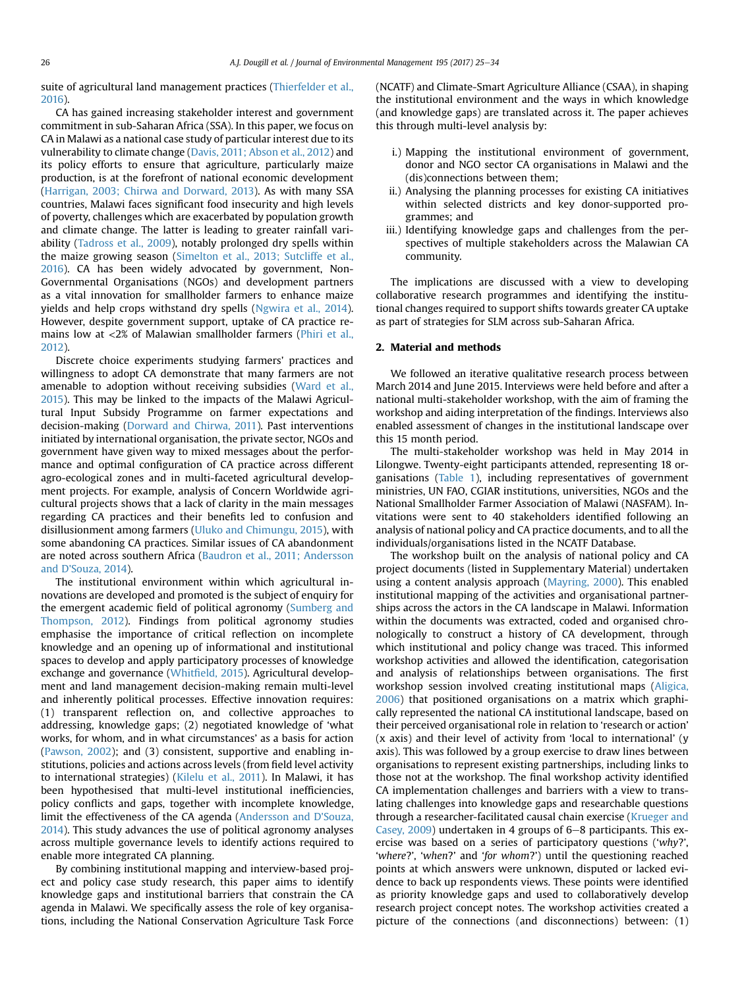suite of agricultural land management practices ([Thierfelder et al.,](#page-9-0) [2016](#page-9-0)).

CA has gained increasing stakeholder interest and government commitment in sub-Saharan Africa (SSA). In this paper, we focus on CA in Malawi as a national case study of particular interest due to its vulnerability to climate change [\(Davis, 2011; Abson et al., 2012\)](#page-8-0) and its policy efforts to ensure that agriculture, particularly maize production, is at the forefront of national economic development ([Harrigan, 2003; Chirwa and Dorward, 2013\)](#page-8-0). As with many SSA countries, Malawi faces significant food insecurity and high levels of poverty, challenges which are exacerbated by population growth and climate change. The latter is leading to greater rainfall variability ([Tadross et al., 2009\)](#page-9-0), notably prolonged dry spells within the maize growing season ([Simelton et al., 2013; Sutcliffe et al.,](#page-9-0) [2016](#page-9-0)). CA has been widely advocated by government, Non-Governmental Organisations (NGOs) and development partners as a vital innovation for smallholder farmers to enhance maize yields and help crops withstand dry spells [\(Ngwira et al., 2014\)](#page-9-0). However, despite government support, uptake of CA practice remains low at <2% of Malawian smallholder farmers [\(Phiri et al.,](#page-9-0) [2012](#page-9-0)).

Discrete choice experiments studying farmers' practices and willingness to adopt CA demonstrate that many farmers are not amenable to adoption without receiving subsidies [\(Ward et al.,](#page-9-0) [2015](#page-9-0)). This may be linked to the impacts of the Malawi Agricultural Input Subsidy Programme on farmer expectations and decision-making [\(Dorward and Chirwa, 2011](#page-8-0)). Past interventions initiated by international organisation, the private sector, NGOs and government have given way to mixed messages about the performance and optimal configuration of CA practice across different agro-ecological zones and in multi-faceted agricultural development projects. For example, analysis of Concern Worldwide agricultural projects shows that a lack of clarity in the main messages regarding CA practices and their benefits led to confusion and disillusionment among farmers [\(Uluko and Chimungu, 2015](#page-9-0)), with some abandoning CA practices. Similar issues of CA abandonment are noted across southern Africa [\(Baudron et al., 2011; Andersson](#page-8-0) [and D'Souza, 2014\)](#page-8-0).

The institutional environment within which agricultural innovations are developed and promoted is the subject of enquiry for the emergent academic field of political agronomy [\(Sumberg and](#page-9-0) [Thompson, 2012\)](#page-9-0). Findings from political agronomy studies emphasise the importance of critical reflection on incomplete knowledge and an opening up of informational and institutional spaces to develop and apply participatory processes of knowledge exchange and governance (Whitfi[eld, 2015](#page-9-0)). Agricultural development and land management decision-making remain multi-level and inherently political processes. Effective innovation requires: (1) transparent reflection on, and collective approaches to addressing, knowledge gaps; (2) negotiated knowledge of 'what works, for whom, and in what circumstances' as a basis for action ([Pawson, 2002](#page-9-0)); and (3) consistent, supportive and enabling institutions, policies and actions across levels (from field level activity to international strategies) ([Kilelu et al., 2011\)](#page-8-0). In Malawi, it has been hypothesised that multi-level institutional inefficiencies, policy conflicts and gaps, together with incomplete knowledge, limit the effectiveness of the CA agenda [\(Andersson and D'Souza,](#page-8-0) [2014](#page-8-0)). This study advances the use of political agronomy analyses across multiple governance levels to identify actions required to enable more integrated CA planning.

By combining institutional mapping and interview-based project and policy case study research, this paper aims to identify knowledge gaps and institutional barriers that constrain the CA agenda in Malawi. We specifically assess the role of key organisations, including the National Conservation Agriculture Task Force

(NCATF) and Climate-Smart Agriculture Alliance (CSAA), in shaping the institutional environment and the ways in which knowledge (and knowledge gaps) are translated across it. The paper achieves this through multi-level analysis by:

- i.) Mapping the institutional environment of government, donor and NGO sector CA organisations in Malawi and the (dis)connections between them;
- ii.) Analysing the planning processes for existing CA initiatives within selected districts and key donor-supported programmes; and
- iii.) Identifying knowledge gaps and challenges from the perspectives of multiple stakeholders across the Malawian CA community.

The implications are discussed with a view to developing collaborative research programmes and identifying the institutional changes required to support shifts towards greater CA uptake as part of strategies for SLM across sub-Saharan Africa.

# 2. Material and methods

We followed an iterative qualitative research process between March 2014 and June 2015. Interviews were held before and after a national multi-stakeholder workshop, with the aim of framing the workshop and aiding interpretation of the findings. Interviews also enabled assessment of changes in the institutional landscape over this 15 month period.

The multi-stakeholder workshop was held in May 2014 in Lilongwe. Twenty-eight participants attended, representing 18 organisations [\(Table 1\)](#page-2-0), including representatives of government ministries, UN FAO, CGIAR institutions, universities, NGOs and the National Smallholder Farmer Association of Malawi (NASFAM). Invitations were sent to 40 stakeholders identified following an analysis of national policy and CA practice documents, and to all the individuals/organisations listed in the NCATF Database.

The workshop built on the analysis of national policy and CA project documents (listed in Supplementary Material) undertaken using a content analysis approach ([Mayring, 2000\)](#page-9-0). This enabled institutional mapping of the activities and organisational partnerships across the actors in the CA landscape in Malawi. Information within the documents was extracted, coded and organised chronologically to construct a history of CA development, through which institutional and policy change was traced. This informed workshop activities and allowed the identification, categorisation and analysis of relationships between organisations. The first workshop session involved creating institutional maps ([Aligica,](#page-8-0) [2006](#page-8-0)) that positioned organisations on a matrix which graphically represented the national CA institutional landscape, based on their perceived organisational role in relation to 'research or action' (x axis) and their level of activity from 'local to international' (y axis). This was followed by a group exercise to draw lines between organisations to represent existing partnerships, including links to those not at the workshop. The final workshop activity identified CA implementation challenges and barriers with a view to translating challenges into knowledge gaps and researchable questions through a researcher-facilitated causal chain exercise ([Krueger and](#page-9-0) Casey,  $2009$ ) undertaken in 4 groups of  $6-8$  participants. This exercise was based on a series of participatory questions ('why?', 'where?', 'when?' and 'for whom?') until the questioning reached points at which answers were unknown, disputed or lacked evidence to back up respondents views. These points were identified as priority knowledge gaps and used to collaboratively develop research project concept notes. The workshop activities created a picture of the connections (and disconnections) between: (1)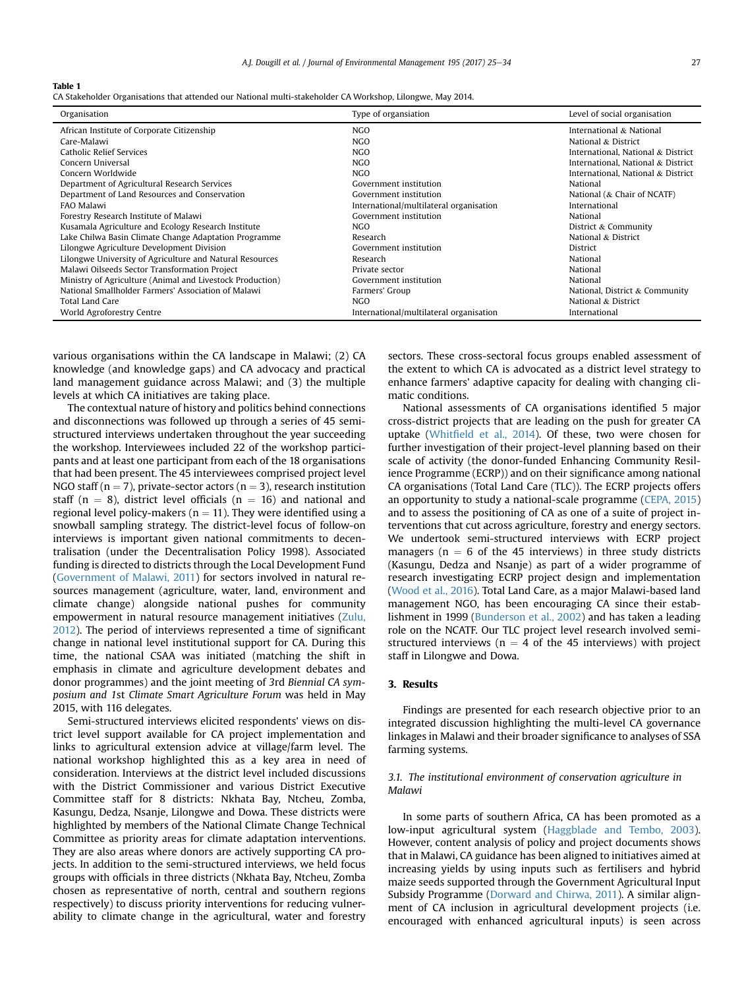#### <span id="page-2-0"></span>Table 1

| Organisation                                              | Type of organsiation                    | Level of social organisation       |
|-----------------------------------------------------------|-----------------------------------------|------------------------------------|
| African Institute of Corporate Citizenship                | NGO                                     | International & National           |
| Care-Malawi                                               | NGO.                                    | National & District                |
| Catholic Relief Services                                  | NGO                                     | International, National & District |
| Concern Universal                                         | NGO                                     | International, National & District |
| Concern Worldwide                                         | NGO.                                    | International, National & District |
| Department of Agricultural Research Services              | Government institution                  | National                           |
| Department of Land Resources and Conservation             | Government institution                  | National (& Chair of NCATF)        |
| FAO Malawi                                                | International/multilateral organisation | International                      |
| Forestry Research Institute of Malawi                     | Government institution                  | National                           |
| Kusamala Agriculture and Ecology Research Institute       | NGO.                                    | District & Community               |
| Lake Chilwa Basin Climate Change Adaptation Programme     | Research                                | National & District                |
| Lilongwe Agriculture Development Division                 | Government institution                  | <b>District</b>                    |
| Lilongwe University of Agriculture and Natural Resources  | Research                                | National                           |
| Malawi Oilseeds Sector Transformation Project             | Private sector                          | National                           |
| Ministry of Agriculture (Animal and Livestock Production) | Government institution                  | National                           |
| National Smallholder Farmers' Association of Malawi       | Farmers' Group                          | National, District & Community     |
| Total Land Care                                           | NGO.                                    | National & District                |
| World Agroforestry Centre                                 | International/multilateral organisation | International                      |

various organisations within the CA landscape in Malawi; (2) CA knowledge (and knowledge gaps) and CA advocacy and practical land management guidance across Malawi; and (3) the multiple levels at which CA initiatives are taking place.

The contextual nature of history and politics behind connections and disconnections was followed up through a series of 45 semistructured interviews undertaken throughout the year succeeding the workshop. Interviewees included 22 of the workshop participants and at least one participant from each of the 18 organisations that had been present. The 45 interviewees comprised project level NGO staff ( $n = 7$ ), private-sector actors ( $n = 3$ ), research institution staff (n = 8), district level officials (n = 16) and national and regional level policy-makers ( $n = 11$ ). They were identified using a snowball sampling strategy. The district-level focus of follow-on interviews is important given national commitments to decentralisation (under the Decentralisation Policy 1998). Associated funding is directed to districts through the Local Development Fund ([Government of Malawi, 2011](#page-8-0)) for sectors involved in natural resources management (agriculture, water, land, environment and climate change) alongside national pushes for community empowerment in natural resource management initiatives ([Zulu,](#page-9-0) [2012\)](#page-9-0). The period of interviews represented a time of significant change in national level institutional support for CA. During this time, the national CSAA was initiated (matching the shift in emphasis in climate and agriculture development debates and donor programmes) and the joint meeting of 3rd Biennial CA symposium and 1st Climate Smart Agriculture Forum was held in May 2015, with 116 delegates.

Semi-structured interviews elicited respondents' views on district level support available for CA project implementation and links to agricultural extension advice at village/farm level. The national workshop highlighted this as a key area in need of consideration. Interviews at the district level included discussions with the District Commissioner and various District Executive Committee staff for 8 districts: Nkhata Bay, Ntcheu, Zomba, Kasungu, Dedza, Nsanje, Lilongwe and Dowa. These districts were highlighted by members of the National Climate Change Technical Committee as priority areas for climate adaptation interventions. They are also areas where donors are actively supporting CA projects. In addition to the semi-structured interviews, we held focus groups with officials in three districts (Nkhata Bay, Ntcheu, Zomba chosen as representative of north, central and southern regions respectively) to discuss priority interventions for reducing vulnerability to climate change in the agricultural, water and forestry

sectors. These cross-sectoral focus groups enabled assessment of the extent to which CA is advocated as a district level strategy to enhance farmers' adaptive capacity for dealing with changing climatic conditions.

National assessments of CA organisations identified 5 major cross-district projects that are leading on the push for greater CA uptake (Whitfi[eld et al., 2014\)](#page-9-0). Of these, two were chosen for further investigation of their project-level planning based on their scale of activity (the donor-funded Enhancing Community Resilience Programme (ECRP)) and on their significance among national CA organisations (Total Land Care (TLC)). The ECRP projects offers an opportunity to study a national-scale programme [\(CEPA, 2015\)](#page-8-0) and to assess the positioning of CA as one of a suite of project interventions that cut across agriculture, forestry and energy sectors. We undertook semi-structured interviews with ECRP project managers ( $n = 6$  of the 45 interviews) in three study districts (Kasungu, Dedza and Nsanje) as part of a wider programme of research investigating ECRP project design and implementation ([Wood et al., 2016](#page-9-0)). Total Land Care, as a major Malawi-based land management NGO, has been encouraging CA since their establishment in 1999 [\(Bunderson et al., 2002\)](#page-8-0) and has taken a leading role on the NCATF. Our TLC project level research involved semistructured interviews ( $n = 4$  of the 45 interviews) with project staff in Lilongwe and Dowa.

# 3. Results

Findings are presented for each research objective prior to an integrated discussion highlighting the multi-level CA governance linkages in Malawi and their broader significance to analyses of SSA farming systems.

#### 3.1. The institutional environment of conservation agriculture in Malawi

In some parts of southern Africa, CA has been promoted as a low-input agricultural system [\(Haggblade and Tembo, 2003\)](#page-8-0). However, content analysis of policy and project documents shows that in Malawi, CA guidance has been aligned to initiatives aimed at increasing yields by using inputs such as fertilisers and hybrid maize seeds supported through the Government Agricultural Input Subsidy Programme ([Dorward and Chirwa, 2011\)](#page-8-0). A similar alignment of CA inclusion in agricultural development projects (i.e. encouraged with enhanced agricultural inputs) is seen across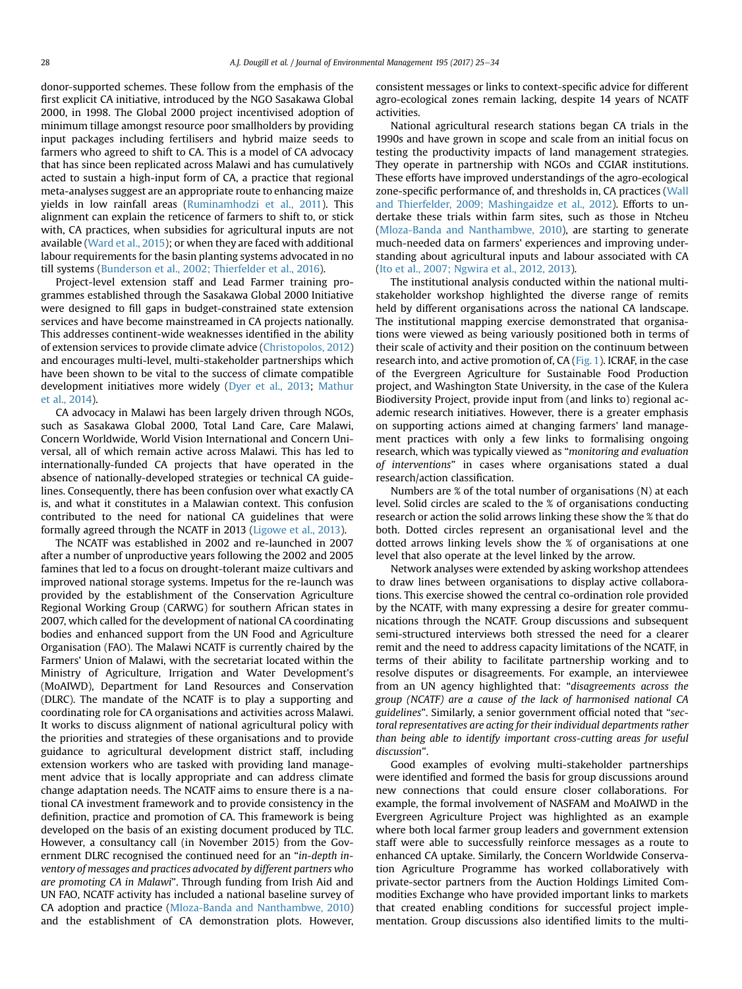donor-supported schemes. These follow from the emphasis of the first explicit CA initiative, introduced by the NGO Sasakawa Global 2000, in 1998. The Global 2000 project incentivised adoption of minimum tillage amongst resource poor smallholders by providing input packages including fertilisers and hybrid maize seeds to farmers who agreed to shift to CA. This is a model of CA advocacy that has since been replicated across Malawi and has cumulatively acted to sustain a high-input form of CA, a practice that regional meta-analyses suggest are an appropriate route to enhancing maize yields in low rainfall areas [\(Ruminamhodzi et al., 2011](#page-9-0)). This alignment can explain the reticence of farmers to shift to, or stick with, CA practices, when subsidies for agricultural inputs are not available ([Ward et al., 2015](#page-9-0)); or when they are faced with additional labour requirements for the basin planting systems advocated in no till systems [\(Bunderson et al., 2002; Thierfelder et al., 2016\)](#page-8-0).

Project-level extension staff and Lead Farmer training programmes established through the Sasakawa Global 2000 Initiative were designed to fill gaps in budget-constrained state extension services and have become mainstreamed in CA projects nationally. This addresses continent-wide weaknesses identified in the ability of extension services to provide climate advice ([Christopolos, 2012\)](#page-8-0) and encourages multi-level, multi-stakeholder partnerships which have been shown to be vital to the success of climate compatible development initiatives more widely ([Dyer et al., 2013;](#page-8-0) [Mathur](#page-9-0) [et al., 2014\)](#page-9-0).

CA advocacy in Malawi has been largely driven through NGOs, such as Sasakawa Global 2000, Total Land Care, Care Malawi, Concern Worldwide, World Vision International and Concern Universal, all of which remain active across Malawi. This has led to internationally-funded CA projects that have operated in the absence of nationally-developed strategies or technical CA guidelines. Consequently, there has been confusion over what exactly CA is, and what it constitutes in a Malawian context. This confusion contributed to the need for national CA guidelines that were formally agreed through the NCATF in 2013 [\(Ligowe et al., 2013](#page-9-0)).

The NCATF was established in 2002 and re-launched in 2007 after a number of unproductive years following the 2002 and 2005 famines that led to a focus on drought-tolerant maize cultivars and improved national storage systems. Impetus for the re-launch was provided by the establishment of the Conservation Agriculture Regional Working Group (CARWG) for southern African states in 2007, which called for the development of national CA coordinating bodies and enhanced support from the UN Food and Agriculture Organisation (FAO). The Malawi NCATF is currently chaired by the Farmers' Union of Malawi, with the secretariat located within the Ministry of Agriculture, Irrigation and Water Development's (MoAIWD), Department for Land Resources and Conservation (DLRC). The mandate of the NCATF is to play a supporting and coordinating role for CA organisations and activities across Malawi. It works to discuss alignment of national agricultural policy with the priorities and strategies of these organisations and to provide guidance to agricultural development district staff, including extension workers who are tasked with providing land management advice that is locally appropriate and can address climate change adaptation needs. The NCATF aims to ensure there is a national CA investment framework and to provide consistency in the definition, practice and promotion of CA. This framework is being developed on the basis of an existing document produced by TLC. However, a consultancy call (in November 2015) from the Government DLRC recognised the continued need for an "in-depth inventory of messages and practices advocated by different partners who are promoting CA in Malawi". Through funding from Irish Aid and UN FAO, NCATF activity has included a national baseline survey of CA adoption and practice ([Mloza-Banda and Nanthambwe, 2010\)](#page-9-0) and the establishment of CA demonstration plots. However, consistent messages or links to context-specific advice for different agro-ecological zones remain lacking, despite 14 years of NCATF activities.

National agricultural research stations began CA trials in the 1990s and have grown in scope and scale from an initial focus on testing the productivity impacts of land management strategies. They operate in partnership with NGOs and CGIAR institutions. These efforts have improved understandings of the agro-ecological zone-specific performance of, and thresholds in, CA practices ([Wall](#page-9-0) [and Thierfelder, 2009; Mashingaidze et al., 2012](#page-9-0)). Efforts to undertake these trials within farm sites, such as those in Ntcheu ([Mloza-Banda and Nanthambwe, 2010](#page-9-0)), are starting to generate much-needed data on farmers' experiences and improving understanding about agricultural inputs and labour associated with CA ([Ito et al., 2007; Ngwira et al., 2012, 2013](#page-8-0)).

The institutional analysis conducted within the national multistakeholder workshop highlighted the diverse range of remits held by different organisations across the national CA landscape. The institutional mapping exercise demonstrated that organisations were viewed as being variously positioned both in terms of their scale of activity and their position on the continuum between research into, and active promotion of, CA [\(Fig. 1](#page-4-0)). ICRAF, in the case of the Evergreen Agriculture for Sustainable Food Production project, and Washington State University, in the case of the Kulera Biodiversity Project, provide input from (and links to) regional academic research initiatives. However, there is a greater emphasis on supporting actions aimed at changing farmers' land management practices with only a few links to formalising ongoing research, which was typically viewed as "monitoring and evaluation of interventions" in cases where organisations stated a dual research/action classification.

Numbers are % of the total number of organisations (N) at each level. Solid circles are scaled to the % of organisations conducting research or action the solid arrows linking these show the % that do both. Dotted circles represent an organisational level and the dotted arrows linking levels show the % of organisations at one level that also operate at the level linked by the arrow.

Network analyses were extended by asking workshop attendees to draw lines between organisations to display active collaborations. This exercise showed the central co-ordination role provided by the NCATF, with many expressing a desire for greater communications through the NCATF. Group discussions and subsequent semi-structured interviews both stressed the need for a clearer remit and the need to address capacity limitations of the NCATF, in terms of their ability to facilitate partnership working and to resolve disputes or disagreements. For example, an interviewee from an UN agency highlighted that: "disagreements across the group (NCATF) are a cause of the lack of harmonised national CA guidelines". Similarly, a senior government official noted that "sectoral representatives are acting for their individual departments rather than being able to identify important cross-cutting areas for useful discussion".

Good examples of evolving multi-stakeholder partnerships were identified and formed the basis for group discussions around new connections that could ensure closer collaborations. For example, the formal involvement of NASFAM and MoAIWD in the Evergreen Agriculture Project was highlighted as an example where both local farmer group leaders and government extension staff were able to successfully reinforce messages as a route to enhanced CA uptake. Similarly, the Concern Worldwide Conservation Agriculture Programme has worked collaboratively with private-sector partners from the Auction Holdings Limited Commodities Exchange who have provided important links to markets that created enabling conditions for successful project implementation. Group discussions also identified limits to the multi-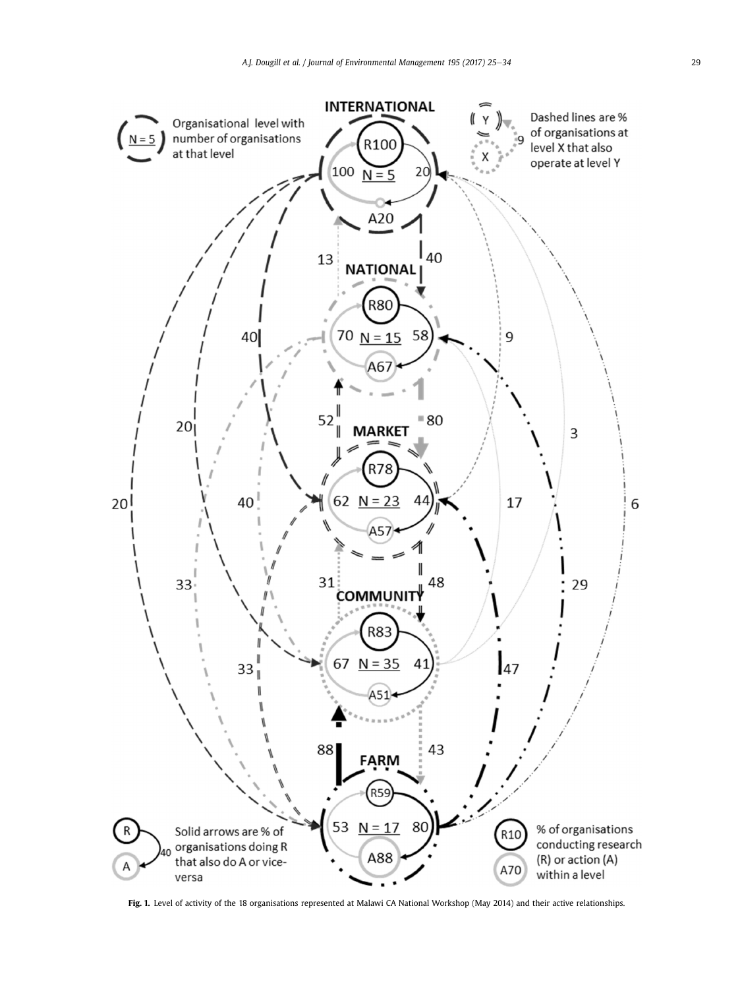<span id="page-4-0"></span>

Fig. 1. Level of activity of the 18 organisations represented at Malawi CA National Workshop (May 2014) and their active relationships.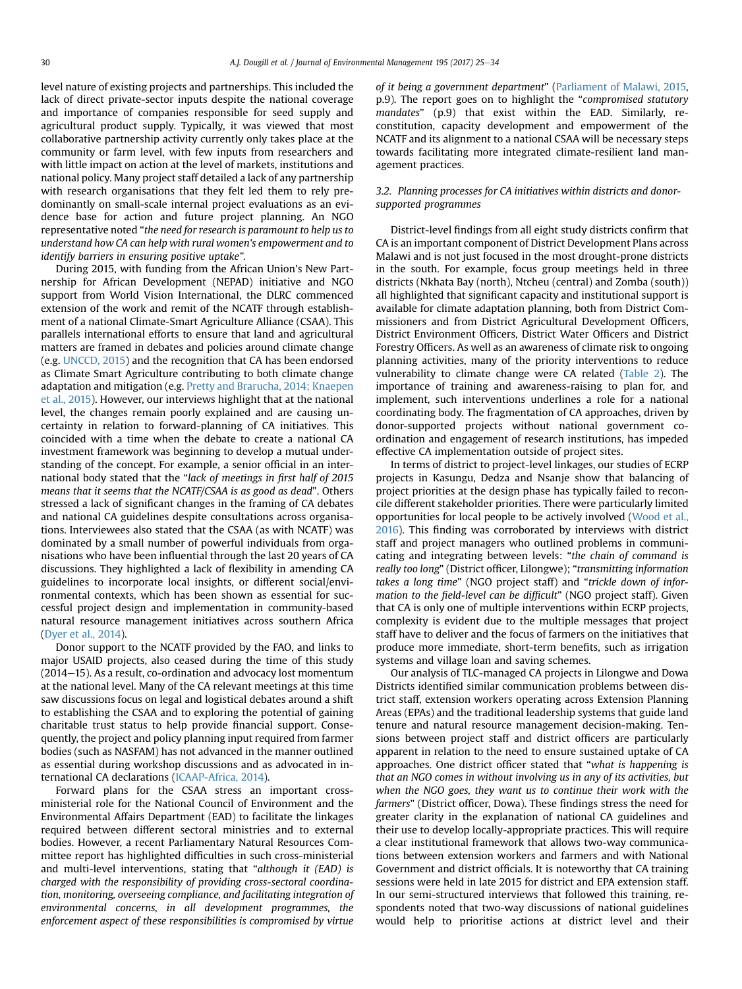level nature of existing projects and partnerships. This included the lack of direct private-sector inputs despite the national coverage and importance of companies responsible for seed supply and agricultural product supply. Typically, it was viewed that most collaborative partnership activity currently only takes place at the community or farm level, with few inputs from researchers and with little impact on action at the level of markets, institutions and national policy. Many project staff detailed a lack of any partnership with research organisations that they felt led them to rely predominantly on small-scale internal project evaluations as an evidence base for action and future project planning. An NGO representative noted "the need for research is paramount to help us to understand how CA can help with rural women's empowerment and to identify barriers in ensuring positive uptake".

During 2015, with funding from the African Union's New Partnership for African Development (NEPAD) initiative and NGO support from World Vision International, the DLRC commenced extension of the work and remit of the NCATF through establishment of a national Climate-Smart Agriculture Alliance (CSAA). This parallels international efforts to ensure that land and agricultural matters are framed in debates and policies around climate change (e.g. [UNCCD, 2015\)](#page-9-0) and the recognition that CA has been endorsed as Climate Smart Agriculture contributing to both climate change adaptation and mitigation (e.g. [Pretty and Brarucha, 2014; Knaepen](#page-9-0) [et al., 2015](#page-9-0)). However, our interviews highlight that at the national level, the changes remain poorly explained and are causing uncertainty in relation to forward-planning of CA initiatives. This coincided with a time when the debate to create a national CA investment framework was beginning to develop a mutual understanding of the concept. For example, a senior official in an international body stated that the "lack of meetings in first half of 2015 means that it seems that the NCATF/CSAA is as good as dead". Others stressed a lack of significant changes in the framing of CA debates and national CA guidelines despite consultations across organisations. Interviewees also stated that the CSAA (as with NCATF) was dominated by a small number of powerful individuals from organisations who have been influential through the last 20 years of CA discussions. They highlighted a lack of flexibility in amending CA guidelines to incorporate local insights, or different social/environmental contexts, which has been shown as essential for successful project design and implementation in community-based natural resource management initiatives across southern Africa ([Dyer et al., 2014](#page-8-0)).

Donor support to the NCATF provided by the FAO, and links to major USAID projects, also ceased during the time of this study  $(2014-15)$ . As a result, co-ordination and advocacy lost momentum at the national level. Many of the CA relevant meetings at this time saw discussions focus on legal and logistical debates around a shift to establishing the CSAA and to exploring the potential of gaining charitable trust status to help provide financial support. Consequently, the project and policy planning input required from farmer bodies (such as NASFAM) has not advanced in the manner outlined as essential during workshop discussions and as advocated in international CA declarations [\(ICAAP-Africa, 2014\)](#page-8-0).

Forward plans for the CSAA stress an important crossministerial role for the National Council of Environment and the Environmental Affairs Department (EAD) to facilitate the linkages required between different sectoral ministries and to external bodies. However, a recent Parliamentary Natural Resources Committee report has highlighted difficulties in such cross-ministerial and multi-level interventions, stating that "although it (EAD) is charged with the responsibility of providing cross-sectoral coordination, monitoring, overseeing compliance, and facilitating integration of environmental concerns, in all development programmes, the enforcement aspect of these responsibilities is compromised by virtue of it being a government department" [\(Parliament of Malawi, 2015,](#page-9-0) p.9). The report goes on to highlight the "compromised statutory mandates" (p.9) that exist within the EAD. Similarly, reconstitution, capacity development and empowerment of the NCATF and its alignment to a national CSAA will be necessary steps towards facilitating more integrated climate-resilient land management practices.

### 3.2. Planning processes for CA initiatives within districts and donorsupported programmes

District-level findings from all eight study districts confirm that CA is an important component of District Development Plans across Malawi and is not just focused in the most drought-prone districts in the south. For example, focus group meetings held in three districts (Nkhata Bay (north), Ntcheu (central) and Zomba (south)) all highlighted that significant capacity and institutional support is available for climate adaptation planning, both from District Commissioners and from District Agricultural Development Officers, District Environment Officers, District Water Officers and District Forestry Officers. As well as an awareness of climate risk to ongoing planning activities, many of the priority interventions to reduce vulnerability to climate change were  $CA$  related  $(Table 2)$  $(Table 2)$ . The importance of training and awareness-raising to plan for, and implement, such interventions underlines a role for a national coordinating body. The fragmentation of CA approaches, driven by donor-supported projects without national government coordination and engagement of research institutions, has impeded effective CA implementation outside of project sites.

In terms of district to project-level linkages, our studies of ECRP projects in Kasungu, Dedza and Nsanje show that balancing of project priorities at the design phase has typically failed to reconcile different stakeholder priorities. There were particularly limited opportunities for local people to be actively involved ([Wood et al.,](#page-9-0) [2016\)](#page-9-0). This finding was corroborated by interviews with district staff and project managers who outlined problems in communicating and integrating between levels: "the chain of command is really too long" (District officer, Lilongwe); "transmitting information takes a long time" (NGO project staff) and "trickle down of information to the field-level can be difficult" (NGO project staff). Given that CA is only one of multiple interventions within ECRP projects, complexity is evident due to the multiple messages that project staff have to deliver and the focus of farmers on the initiatives that produce more immediate, short-term benefits, such as irrigation systems and village loan and saving schemes.

Our analysis of TLC-managed CA projects in Lilongwe and Dowa Districts identified similar communication problems between district staff, extension workers operating across Extension Planning Areas (EPAs) and the traditional leadership systems that guide land tenure and natural resource management decision-making. Tensions between project staff and district officers are particularly apparent in relation to the need to ensure sustained uptake of CA approaches. One district officer stated that "what is happening is that an NGO comes in without involving us in any of its activities, but when the NGO goes, they want us to continue their work with the farmers" (District officer, Dowa). These findings stress the need for greater clarity in the explanation of national CA guidelines and their use to develop locally-appropriate practices. This will require a clear institutional framework that allows two-way communications between extension workers and farmers and with National Government and district officials. It is noteworthy that CA training sessions were held in late 2015 for district and EPA extension staff. In our semi-structured interviews that followed this training, respondents noted that two-way discussions of national guidelines would help to prioritise actions at district level and their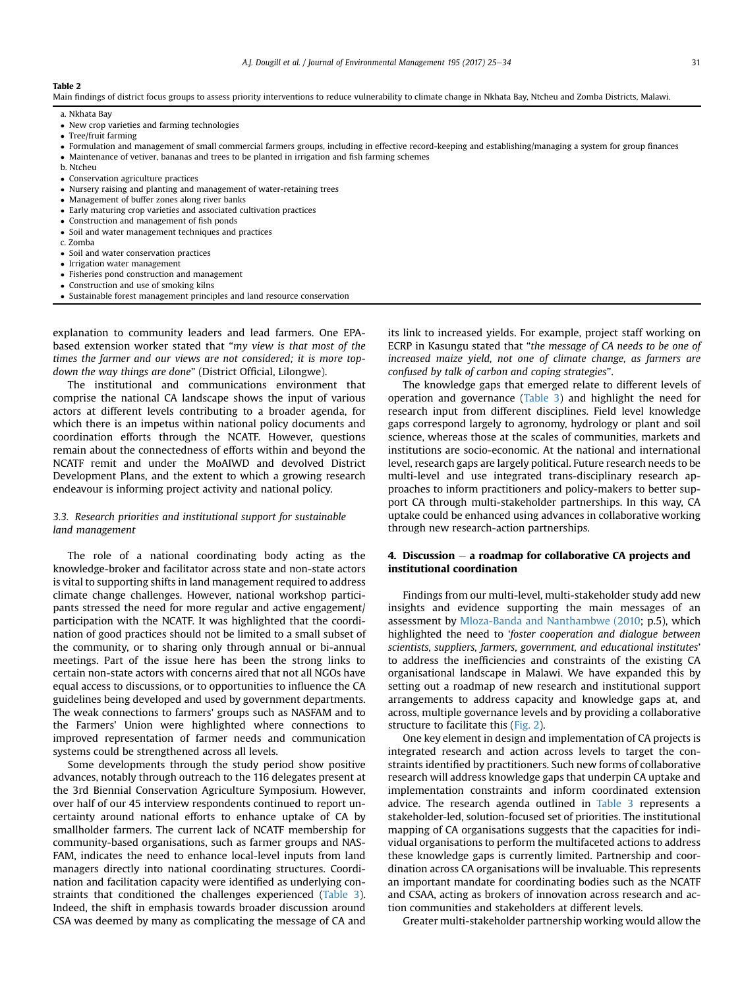A.I. Dougill et al. / Journal of Environmental Management  $195$  (2017)  $25-34$  31

# <span id="page-6-0"></span>Table 2

Main findings of district focus groups to assess priority interventions to reduce vulnerability to climate change in Nkhata Bay, Ntcheu and Zomba Districts, Malawi.

- a. Nkhata Bay - New crop varieties and farming technologies
- Tree/fruit farming
- Formulation and management of small commercial farmers groups, including in effective record-keeping and establishing/managing a system for group finances
- Maintenance of vetiver, bananas and trees to be planted in irrigation and fish farming schemes b. Ntcheu
- Conservation agriculture practices
- 
- Nursery raising and planting and management of water-retaining trees
- Management of buffer zones along river banks - Early maturing crop varieties and associated cultivation practices
- Construction and management of fish ponds
- Soil and water management techniques and practices
- c. Zomba
- Soil and water conservation practices
- Irrigation water management
- Fisheries pond construction and management
- Construction and use of smoking kilns
- Sustainable forest management principles and land resource conservation

explanation to community leaders and lead farmers. One EPAbased extension worker stated that "my view is that most of the times the farmer and our views are not considered; it is more topdown the way things are done" (District Official, Lilongwe).

The institutional and communications environment that comprise the national CA landscape shows the input of various actors at different levels contributing to a broader agenda, for which there is an impetus within national policy documents and coordination efforts through the NCATF. However, questions remain about the connectedness of efforts within and beyond the NCATF remit and under the MoAIWD and devolved District Development Plans, and the extent to which a growing research endeavour is informing project activity and national policy.

# 3.3. Research priorities and institutional support for sustainable land management

The role of a national coordinating body acting as the knowledge-broker and facilitator across state and non-state actors is vital to supporting shifts in land management required to address climate change challenges. However, national workshop participants stressed the need for more regular and active engagement/ participation with the NCATF. It was highlighted that the coordination of good practices should not be limited to a small subset of the community, or to sharing only through annual or bi-annual meetings. Part of the issue here has been the strong links to certain non-state actors with concerns aired that not all NGOs have equal access to discussions, or to opportunities to influence the CA guidelines being developed and used by government departments. The weak connections to farmers' groups such as NASFAM and to the Farmers' Union were highlighted where connections to improved representation of farmer needs and communication systems could be strengthened across all levels.

Some developments through the study period show positive advances, notably through outreach to the 116 delegates present at the 3rd Biennial Conservation Agriculture Symposium. However, over half of our 45 interview respondents continued to report uncertainty around national efforts to enhance uptake of CA by smallholder farmers. The current lack of NCATF membership for community-based organisations, such as farmer groups and NAS-FAM, indicates the need to enhance local-level inputs from land managers directly into national coordinating structures. Coordination and facilitation capacity were identified as underlying constraints that conditioned the challenges experienced ([Table 3\)](#page-7-0). Indeed, the shift in emphasis towards broader discussion around CSA was deemed by many as complicating the message of CA and its link to increased yields. For example, project staff working on ECRP in Kasungu stated that "the message of CA needs to be one of increased maize yield, not one of climate change, as farmers are confused by talk of carbon and coping strategies".

The knowledge gaps that emerged relate to different levels of operation and governance ([Table 3](#page-7-0)) and highlight the need for research input from different disciplines. Field level knowledge gaps correspond largely to agronomy, hydrology or plant and soil science, whereas those at the scales of communities, markets and institutions are socio-economic. At the national and international level, research gaps are largely political. Future research needs to be multi-level and use integrated trans-disciplinary research approaches to inform practitioners and policy-makers to better support CA through multi-stakeholder partnerships. In this way, CA uptake could be enhanced using advances in collaborative working through new research-action partnerships.

#### 4. Discussion  $-$  a roadmap for collaborative CA projects and institutional coordination

Findings from our multi-level, multi-stakeholder study add new insights and evidence supporting the main messages of an assessment by [Mloza-Banda and Nanthambwe \(2010](#page-9-0); p.5), which highlighted the need to 'foster cooperation and dialogue between scientists, suppliers, farmers, government, and educational institutes' to address the inefficiencies and constraints of the existing CA organisational landscape in Malawi. We have expanded this by setting out a roadmap of new research and institutional support arrangements to address capacity and knowledge gaps at, and across, multiple governance levels and by providing a collaborative structure to facilitate this ([Fig. 2](#page-7-0)).

One key element in design and implementation of CA projects is integrated research and action across levels to target the constraints identified by practitioners. Such new forms of collaborative research will address knowledge gaps that underpin CA uptake and implementation constraints and inform coordinated extension advice. The research agenda outlined in [Table 3](#page-7-0) represents a stakeholder-led, solution-focused set of priorities. The institutional mapping of CA organisations suggests that the capacities for individual organisations to perform the multifaceted actions to address these knowledge gaps is currently limited. Partnership and coordination across CA organisations will be invaluable. This represents an important mandate for coordinating bodies such as the NCATF and CSAA, acting as brokers of innovation across research and action communities and stakeholders at different levels.

Greater multi-stakeholder partnership working would allow the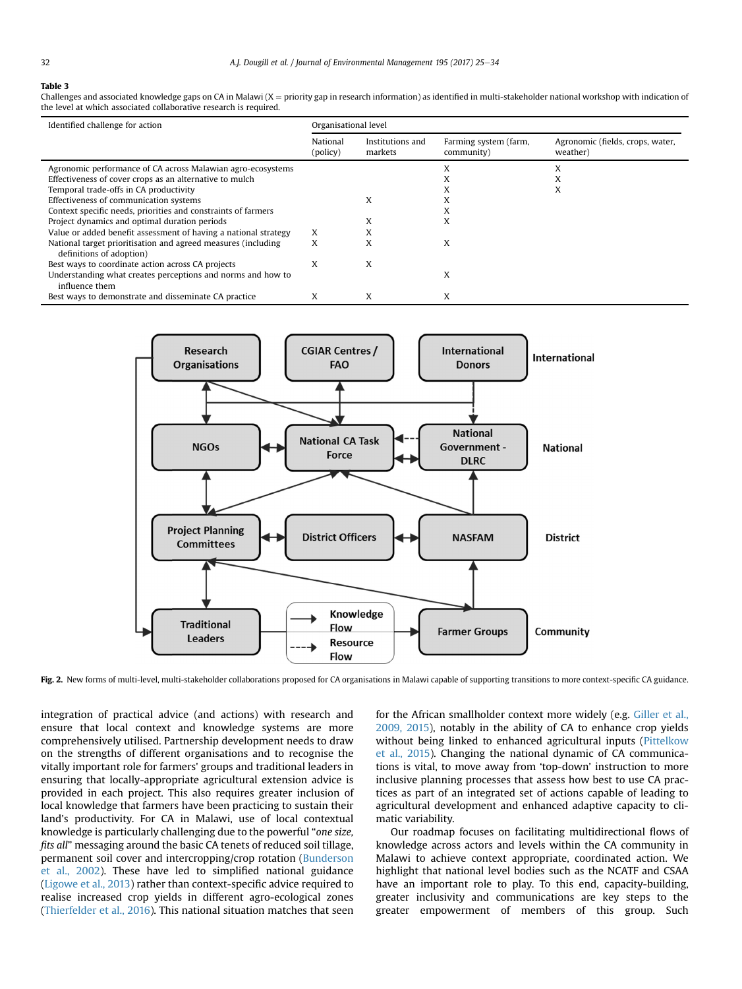#### <span id="page-7-0"></span>Table 3

Challenges and associated knowledge gaps on CA in Malawi (X = priority gap in research information) as identified in multi-stakeholder national workshop with indication of the level at which associated collaborative research is required.

| Identified challenge for action                                                           | Organisational level |                             |                                     |                                              |
|-------------------------------------------------------------------------------------------|----------------------|-----------------------------|-------------------------------------|----------------------------------------------|
|                                                                                           | National<br>(policy) | Institutions and<br>markets | Farming system (farm,<br>community) | Agronomic (fields, crops, water,<br>weather) |
| Agronomic performance of CA across Malawian agro-ecosystems                               |                      |                             |                                     | v                                            |
| Effectiveness of cover crops as an alternative to mulch                                   |                      |                             |                                     |                                              |
| Temporal trade-offs in CA productivity                                                    |                      |                             |                                     |                                              |
| Effectiveness of communication systems                                                    |                      | X                           |                                     |                                              |
| Context specific needs, priorities and constraints of farmers                             |                      |                             |                                     |                                              |
| Project dynamics and optimal duration periods                                             |                      |                             | A                                   |                                              |
| Value or added benefit assessment of having a national strategy                           | X                    |                             |                                     |                                              |
| National target prioritisation and agreed measures (including<br>definitions of adoption) | X                    | v                           | X                                   |                                              |
| Best ways to coordinate action across CA projects                                         | X                    | X                           |                                     |                                              |
| Understanding what creates perceptions and norms and how to<br>influence them             |                      |                             | X                                   |                                              |
| Best ways to demonstrate and disseminate CA practice                                      | x                    | X                           | X                                   |                                              |



Fig. 2. New forms of multi-level, multi-stakeholder collaborations proposed for CA organisations in Malawi capable of supporting transitions to more context-specific CA guidance.

integration of practical advice (and actions) with research and ensure that local context and knowledge systems are more comprehensively utilised. Partnership development needs to draw on the strengths of different organisations and to recognise the vitally important role for farmers' groups and traditional leaders in ensuring that locally-appropriate agricultural extension advice is provided in each project. This also requires greater inclusion of local knowledge that farmers have been practicing to sustain their land's productivity. For CA in Malawi, use of local contextual knowledge is particularly challenging due to the powerful "one size, fits all" messaging around the basic CA tenets of reduced soil tillage, permanent soil cover and intercropping/crop rotation [\(Bunderson](#page-8-0) [et al., 2002](#page-8-0)). These have led to simplified national guidance ([Ligowe et al., 2013\)](#page-9-0) rather than context-specific advice required to realise increased crop yields in different agro-ecological zones ([Thierfelder et al., 2016\)](#page-9-0). This national situation matches that seen for the African smallholder context more widely (e.g. [Giller et al.,](#page-8-0) [2009, 2015\)](#page-8-0), notably in the ability of CA to enhance crop yields without being linked to enhanced agricultural inputs ([Pittelkow](#page-9-0) [et al., 2015](#page-9-0)). Changing the national dynamic of CA communications is vital, to move away from 'top-down' instruction to more inclusive planning processes that assess how best to use CA practices as part of an integrated set of actions capable of leading to agricultural development and enhanced adaptive capacity to climatic variability.

Our roadmap focuses on facilitating multidirectional flows of knowledge across actors and levels within the CA community in Malawi to achieve context appropriate, coordinated action. We highlight that national level bodies such as the NCATF and CSAA have an important role to play. To this end, capacity-building, greater inclusivity and communications are key steps to the greater empowerment of members of this group. Such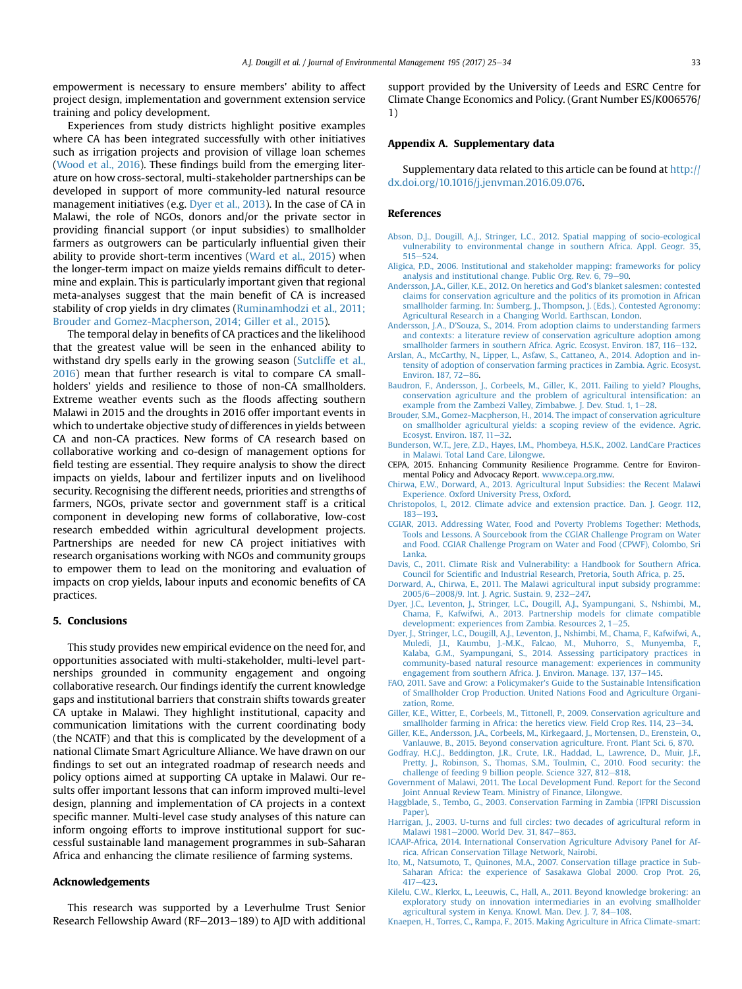<span id="page-8-0"></span>empowerment is necessary to ensure members' ability to affect project design, implementation and government extension service training and policy development.

Experiences from study districts highlight positive examples where CA has been integrated successfully with other initiatives such as irrigation projects and provision of village loan schemes ([Wood et al., 2016](#page-9-0)). These findings build from the emerging literature on how cross-sectoral, multi-stakeholder partnerships can be developed in support of more community-led natural resource management initiatives (e.g. Dyer et al., 2013). In the case of CA in Malawi, the role of NGOs, donors and/or the private sector in providing financial support (or input subsidies) to smallholder farmers as outgrowers can be particularly influential given their ability to provide short-term incentives [\(Ward et al., 2015](#page-9-0)) when the longer-term impact on maize yields remains difficult to determine and explain. This is particularly important given that regional meta-analyses suggest that the main benefit of CA is increased stability of crop yields in dry climates [\(Ruminamhodzi et al., 2011;](#page-9-0) [Brouder and Gomez-Macpherson, 2014; Giller et al., 2015](#page-9-0)).

The temporal delay in benefits of CA practices and the likelihood that the greatest value will be seen in the enhanced ability to withstand dry spells early in the growing season ([Sutcliffe et al.,](#page-9-0) [2016\)](#page-9-0) mean that further research is vital to compare CA smallholders' yields and resilience to those of non-CA smallholders. Extreme weather events such as the floods affecting southern Malawi in 2015 and the droughts in 2016 offer important events in which to undertake objective study of differences in yields between CA and non-CA practices. New forms of CA research based on collaborative working and co-design of management options for field testing are essential. They require analysis to show the direct impacts on yields, labour and fertilizer inputs and on livelihood security. Recognising the different needs, priorities and strengths of farmers, NGOs, private sector and government staff is a critical component in developing new forms of collaborative, low-cost research embedded within agricultural development projects. Partnerships are needed for new CA project initiatives with research organisations working with NGOs and community groups to empower them to lead on the monitoring and evaluation of impacts on crop yields, labour inputs and economic benefits of CA practices.

#### 5. Conclusions

This study provides new empirical evidence on the need for, and opportunities associated with multi-stakeholder, multi-level partnerships grounded in community engagement and ongoing collaborative research. Our findings identify the current knowledge gaps and institutional barriers that constrain shifts towards greater CA uptake in Malawi. They highlight institutional, capacity and communication limitations with the current coordinating body (the NCATF) and that this is complicated by the development of a national Climate Smart Agriculture Alliance. We have drawn on our findings to set out an integrated roadmap of research needs and policy options aimed at supporting CA uptake in Malawi. Our results offer important lessons that can inform improved multi-level design, planning and implementation of CA projects in a context specific manner. Multi-level case study analyses of this nature can inform ongoing efforts to improve institutional support for successful sustainable land management programmes in sub-Saharan Africa and enhancing the climate resilience of farming systems.

#### Acknowledgements

This research was supported by a Leverhulme Trust Senior Research Fellowship Award (RF-2013-189) to AJD with additional support provided by the University of Leeds and ESRC Centre for Climate Change Economics and Policy. (Grant Number ES/K006576/ 1)

#### Appendix A. Supplementary data

Supplementary data related to this article can be found at [http://](http://dx.doi.org/10.1016/j.jenvman.2016.09.076) [dx.doi.org/10.1016/j.jenvman.2016.09.076](http://dx.doi.org/10.1016/j.jenvman.2016.09.076).

#### References

- [Abson, D.J., Dougill, A.J., Stringer, L.C., 2012. Spatial mapping of socio-ecological](http://refhub.elsevier.com/S0301-4797(16)30747-2/sref1) [vulnerability to environmental change in southern Africa. Appl. Geogr. 35,](http://refhub.elsevier.com/S0301-4797(16)30747-2/sref1)  $515 - 524$  $515 - 524$  $515 - 524$
- [Aligica, P.D., 2006. Institutional and stakeholder mapping: frameworks for policy](http://refhub.elsevier.com/S0301-4797(16)30747-2/sref2) [analysis and institutional change. Public Org. Rev. 6, 79](http://refhub.elsevier.com/S0301-4797(16)30747-2/sref2)–[90.](http://refhub.elsevier.com/S0301-4797(16)30747-2/sref2)
- [Andersson, J.A., Giller, K.E., 2012. On heretics and God's blanket salesmen: contested](http://refhub.elsevier.com/S0301-4797(16)30747-2/sref3) [claims for conservation agriculture and the politics of its promotion in African](http://refhub.elsevier.com/S0301-4797(16)30747-2/sref3) [smallholder farming. In: Sumberg, J., Thompson, J. \(Eds.\), Contested Agronomy:](http://refhub.elsevier.com/S0301-4797(16)30747-2/sref3) [Agricultural Research in a Changing World. Earthscan, London.](http://refhub.elsevier.com/S0301-4797(16)30747-2/sref3)
- [Andersson, J.A., D'Souza, S., 2014. From adoption claims to understanding farmers](http://refhub.elsevier.com/S0301-4797(16)30747-2/sref4) [and contexts: a literature review of conservation agriculture adoption among](http://refhub.elsevier.com/S0301-4797(16)30747-2/sref4) [smallholder farmers in southern Africa. Agric. Ecosyst. Environ. 187, 116](http://refhub.elsevier.com/S0301-4797(16)30747-2/sref4)-[132.](http://refhub.elsevier.com/S0301-4797(16)30747-2/sref4)
- [Arslan, A., McCarthy, N., Lipper, L., Asfaw, S., Cattaneo, A., 2014. Adoption and in](http://refhub.elsevier.com/S0301-4797(16)30747-2/sref5)[tensity of adoption of conservation farming practices in Zambia. Agric. Ecosyst.](http://refhub.elsevier.com/S0301-4797(16)30747-2/sref5) [Environ. 187, 72](http://refhub.elsevier.com/S0301-4797(16)30747-2/sref5)-[86](http://refhub.elsevier.com/S0301-4797(16)30747-2/sref5).
- [Baudron, F., Andersson, J., Corbeels, M., Giller, K., 2011. Failing to yield? Ploughs,](http://refhub.elsevier.com/S0301-4797(16)30747-2/sref6) [conservation agriculture and the problem of agricultural intensi](http://refhub.elsevier.com/S0301-4797(16)30747-2/sref6)fication: an example from the Zambezi Valley, Zimbabwe. J. Dev. Stud.  $1, 1-28$ .
- [Brouder, S.M., Gomez-Macpherson, H., 2014. The impact of conservation agriculture](http://refhub.elsevier.com/S0301-4797(16)30747-2/sref7) [on smallholder agricultural yields: a scoping review of the evidence. Agric.](http://refhub.elsevier.com/S0301-4797(16)30747-2/sref7) [Ecosyst. Environ. 187, 11](http://refhub.elsevier.com/S0301-4797(16)30747-2/sref7)-[32.](http://refhub.elsevier.com/S0301-4797(16)30747-2/sref7)
- [Bunderson, W.T., Jere, Z.D., Hayes, I.M., Phombeya, H.S.K., 2002. LandCare Practices](http://refhub.elsevier.com/S0301-4797(16)30747-2/sref8) [in Malawi. Total Land Care, Lilongwe.](http://refhub.elsevier.com/S0301-4797(16)30747-2/sref8)
- CEPA, 2015. Enhancing Community Resilience Programme. Centre for Environmental Policy and Advocacy Report. [www.cepa.org.mw.](http://www.cepa.org.mw)
- [Chirwa, E.W., Dorward, A., 2013. Agricultural Input Subsidies: the Recent Malawi](http://refhub.elsevier.com/S0301-4797(16)30747-2/sref10) [Experience. Oxford University Press, Oxford.](http://refhub.elsevier.com/S0301-4797(16)30747-2/sref10)
- [Christopolos, I., 2012. Climate advice and extension practice. Dan. J. Geogr. 112,](http://refhub.elsevier.com/S0301-4797(16)30747-2/sref11)  $183 - 193$  $183 - 193$  $183 - 193$ .
- [CGIAR, 2013. Addressing Water, Food and Poverty Problems Together: Methods,](http://refhub.elsevier.com/S0301-4797(16)30747-2/sref12) [Tools and Lessons. A Sourcebook from the CGIAR Challenge Program on Water](http://refhub.elsevier.com/S0301-4797(16)30747-2/sref12) [and Food. CGIAR Challenge Program on Water and Food \(CPWF\), Colombo, Sri](http://refhub.elsevier.com/S0301-4797(16)30747-2/sref12) [Lanka](http://refhub.elsevier.com/S0301-4797(16)30747-2/sref12).
- [Davis, C., 2011. Climate Risk and Vulnerability: a Handbook for Southern Africa.](http://refhub.elsevier.com/S0301-4797(16)30747-2/sref13) Council for Scientifi[c and Industrial Research, Pretoria, South Africa, p. 25](http://refhub.elsevier.com/S0301-4797(16)30747-2/sref13).
- [Dorward, A., Chirwa, E., 2011. The Malawi agricultural input subsidy programme:](http://refhub.elsevier.com/S0301-4797(16)30747-2/sref14) [2005/6](http://refhub.elsevier.com/S0301-4797(16)30747-2/sref14)-[2008/9. Int. J. Agric. Sustain. 9, 232](http://refhub.elsevier.com/S0301-4797(16)30747-2/sref14)-[247.](http://refhub.elsevier.com/S0301-4797(16)30747-2/sref14)
- [Dyer, J.C., Leventon, J., Stringer, L.C., Dougill, A.J., Syampungani, S., Nshimbi, M.,](http://refhub.elsevier.com/S0301-4797(16)30747-2/sref15) [Chama, F., Kafwifwi, A., 2013. Partnership models for climate compatible](http://refhub.elsevier.com/S0301-4797(16)30747-2/sref15) [development: experiences from Zambia. Resources 2, 1](http://refhub.elsevier.com/S0301-4797(16)30747-2/sref15)e[25](http://refhub.elsevier.com/S0301-4797(16)30747-2/sref15).
- [Dyer, J., Stringer, L.C., Dougill, A.J., Leventon, J., Nshimbi, M., Chama, F., Kafwifwi, A.,](http://refhub.elsevier.com/S0301-4797(16)30747-2/sref16) [Muledi, J.I., Kaumbu, J.-M.K., Falcao, M., Muhorro, S., Munyemba, F.,](http://refhub.elsevier.com/S0301-4797(16)30747-2/sref16) [Kalaba, G.M., Syampungani, S., 2014. Assessing participatory practices in](http://refhub.elsevier.com/S0301-4797(16)30747-2/sref16) [community-based natural resource management: experiences in community](http://refhub.elsevier.com/S0301-4797(16)30747-2/sref16) [engagement from southern Africa. J. Environ. Manage. 137, 137](http://refhub.elsevier.com/S0301-4797(16)30747-2/sref16)-[145.](http://refhub.elsevier.com/S0301-4797(16)30747-2/sref16)
- [FAO, 2011. Save and Grow: a Policymaker's Guide to the Sustainable Intensi](http://refhub.elsevier.com/S0301-4797(16)30747-2/sref17)fication [of Smallholder Crop Production. United Nations Food and Agriculture Organi](http://refhub.elsevier.com/S0301-4797(16)30747-2/sref17)[zation, Rome](http://refhub.elsevier.com/S0301-4797(16)30747-2/sref17).
- [Giller, K.E., Witter, E., Corbeels, M., Tittonell, P., 2009. Conservation agriculture and](http://refhub.elsevier.com/S0301-4797(16)30747-2/sref18) [smallholder farming in Africa: the heretics view. Field Crop Res. 114, 23](http://refhub.elsevier.com/S0301-4797(16)30747-2/sref18)-[34.](http://refhub.elsevier.com/S0301-4797(16)30747-2/sref18)
- [Giller, K.E., Andersson, J.A., Corbeels, M., Kirkegaard, J., Mortensen, D., Erenstein, O.,](http://refhub.elsevier.com/S0301-4797(16)30747-2/sref19) [Vanlauwe, B., 2015. Beyond conservation agriculture. Front. Plant Sci. 6, 870.](http://refhub.elsevier.com/S0301-4797(16)30747-2/sref19)
- [Godfray, H.C.J., Beddington, J.R., Crute, I.R., Haddad, L., Lawrence, D., Muir, J.F.,](http://refhub.elsevier.com/S0301-4797(16)30747-2/sref20) [Pretty, J., Robinson, S., Thomas, S.M., Toulmin, C., 2010. Food security: the](http://refhub.elsevier.com/S0301-4797(16)30747-2/sref20) [challenge of feeding 9 billion people. Science 327, 812](http://refhub.elsevier.com/S0301-4797(16)30747-2/sref20)-[818.](http://refhub.elsevier.com/S0301-4797(16)30747-2/sref20)
- [Government of Malawi, 2011. The Local Development Fund. Report for the Second](http://refhub.elsevier.com/S0301-4797(16)30747-2/sref21) [Joint Annual Review Team. Ministry of Finance, Lilongwe.](http://refhub.elsevier.com/S0301-4797(16)30747-2/sref21)
- [Haggblade, S., Tembo, G., 2003. Conservation Farming in Zambia \(IFPRI Discussion](http://refhub.elsevier.com/S0301-4797(16)30747-2/sref22) [Paper\).](http://refhub.elsevier.com/S0301-4797(16)30747-2/sref22)
- [Harrigan, J., 2003. U-turns and full circles: two decades of agricultural reform in](http://refhub.elsevier.com/S0301-4797(16)30747-2/sref23) [Malawi 1981](http://refhub.elsevier.com/S0301-4797(16)30747-2/sref23)-[2000. World Dev. 31, 847](http://refhub.elsevier.com/S0301-4797(16)30747-2/sref23)-[863.](http://refhub.elsevier.com/S0301-4797(16)30747-2/sref23)
- [ICAAP-Africa, 2014. International Conservation Agriculture Advisory Panel for Af](http://refhub.elsevier.com/S0301-4797(16)30747-2/sref24)[rica. African Conservation Tillage Network, Nairobi.](http://refhub.elsevier.com/S0301-4797(16)30747-2/sref24)
- [Ito, M., Natsumoto, T., Quinones, M.A., 2007. Conservation tillage practice in Sub-](http://refhub.elsevier.com/S0301-4797(16)30747-2/sref25)[Saharan Africa: the experience of Sasakawa Global 2000. Crop Prot. 26,](http://refhub.elsevier.com/S0301-4797(16)30747-2/sref25)  $417 - 423$  $417 - 423$ .
- [Kilelu, C.W., Klerkx, L., Leeuwis, C., Hall, A., 2011. Beyond knowledge brokering: an](http://refhub.elsevier.com/S0301-4797(16)30747-2/sref26) [exploratory study on innovation intermediaries in an evolving smallholder](http://refhub.elsevier.com/S0301-4797(16)30747-2/sref26) [agricultural system in Kenya. Knowl. Man. Dev. J. 7, 84](http://refhub.elsevier.com/S0301-4797(16)30747-2/sref26)-[108.](http://refhub.elsevier.com/S0301-4797(16)30747-2/sref26)
- [Knaepen, H., Torres, C., Rampa, F., 2015. Making Agriculture in Africa Climate-smart:](http://refhub.elsevier.com/S0301-4797(16)30747-2/sref27)